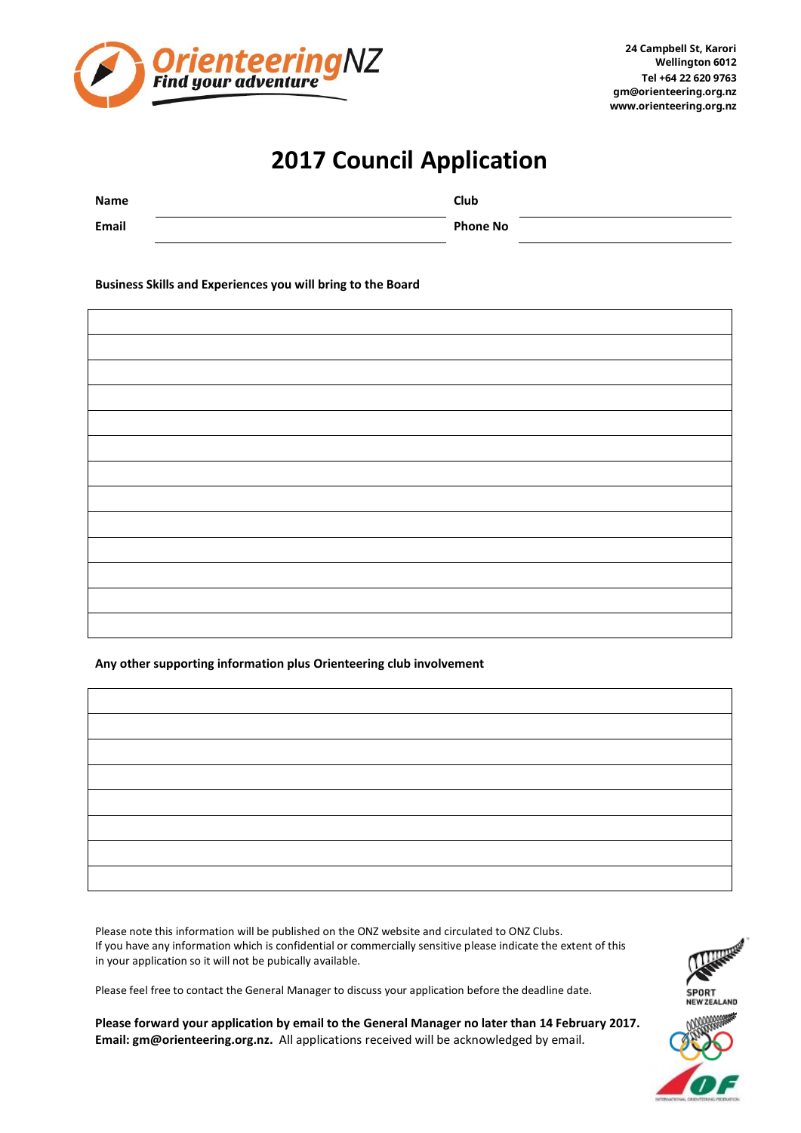

## **2017 Council Application**

| Name  | Club            |  |
|-------|-----------------|--|
| Email | <b>Phone No</b> |  |

**Business Skills and Experiences you will bring to the Board**

## **Any other supporting information plus Orienteering club involvement**

Please note this information will be published on the ONZ website and circulated to ONZ Clubs. If you have any information which is confidential or commercially sensitive please indicate the extent of this in your application so it will not be pubically available.

Please feel free to contact the General Manager to discuss your application before the deadline date.

**Please forward your application by email to the General Manager no later than 14 February 2017. Email: [gm@orienteering.org.nz.](mailto:gm@orienteering.org.nz)** All applications received will be acknowledged by email.